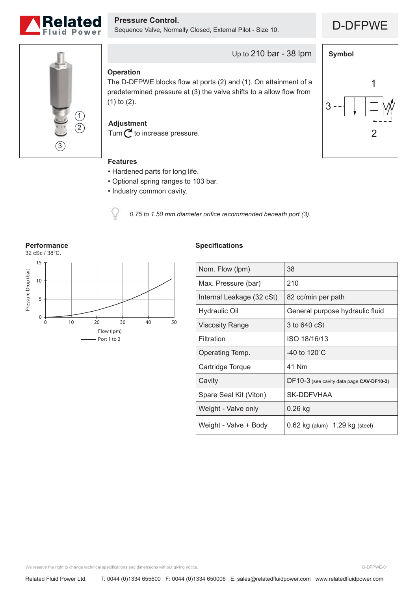

D-DFPWE **Pressure Control.** Sequence Valve, Normally Closed, External Pilot - Size 10.



2

1

3

**Symbol**



Up to 210 bar - 38 lpm

## **Operation**

The D-DFPWE blocks flow at ports (2) and (1). On attainment of a predetermined pressure at (3) the valve shifts to a allow flow from (1) to (2).

**Adjustment**

Turn  $\mathbb C$  to increase pressure.

# **Features**

- Hardened parts for long life.
- Optional spring ranges to 103 bar.
- Industry common cavity.



*0.75 to 1.50 mm diameter orifice recommended beneath port (3).*



### **Specifications**

| Nom. Flow (lpm)           | 38                                       |
|---------------------------|------------------------------------------|
| Max. Pressure (bar)       | 210                                      |
| Internal Leakage (32 cSt) | 82 cc/min per path                       |
| Hydraulic Oil             | General purpose hydraulic fluid          |
| Viscosity Range           | 3 to 640 cSt                             |
| Filtration                | ISO 18/16/13                             |
| Operating Temp.           | -40 to 120 $^{\circ}$ C                  |
| Cartridge Torque          | 41 Nm                                    |
| Cavity                    | DF10-3 (see cavity data page CAV-DF10-3) |
| Spare Seal Kit (Viton)    | SK-DDFVHAA                               |
| Weight - Valve only       | $0.26$ kg                                |
| Weight - Valve + Body     | $0.62$ kg (alum) $1.29$ kg (steel)       |